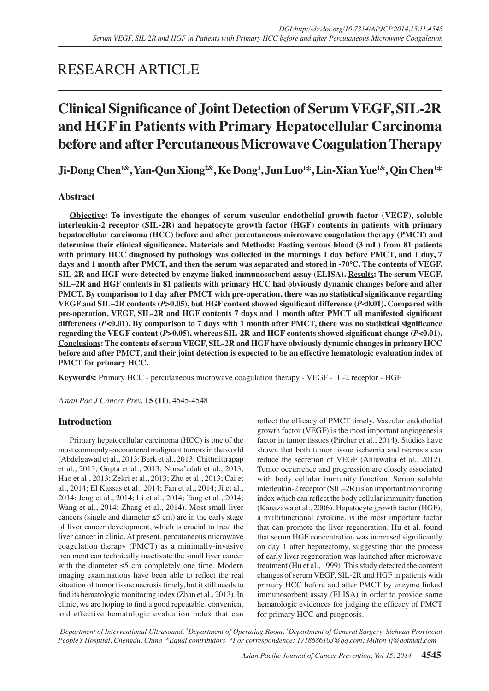# RESEARCH ARTICLE

# **Clinical Significance of Joint Detection of Serum VEGF, SIL-2R and HGF in Patients with Primary Hepatocellular Carcinoma before and after Percutaneous Microwave Coagulation Therapy**

**Ji-Dong Chen1&, Yan-Qun Xiong2&, Ke Dong<sup>3</sup> , Jun Luo<sup>1</sup> \*, Lin-Xian Yue1&, Qin Chen1 \*** 

# **Abstract**

**Objective: To investigate the changes of serum vascular endothelial growth factor (VEGF), soluble interleukin-2 receptor (SIL-2R) and hepatocyte growth factor (HGF) contents in patients with primary hepatocellular carcinoma (HCC) before and after percutaneous microwave coagulation therapy (PMCT) and determine their clinical significance. Materials and Methods: Fasting venous blood (3 mL) from 81 patients with primary HCC diagnosed by pathology was collected in the mornings 1 day before PMCT, and 1 day, 7 days and 1 month after PMCT, and then the serum was separated and stored in -70℃. The contents of VEGF, SIL-2R and HGF were detected by enzyme linked immunosorbent assay (ELISA). Results: The serum VEGF, SIL–2R and HGF contents in 81 patients with primary HCC had obviously dynamic changes before and after PMCT. By comparison to 1 day after PMCT with pre-operation, there was no statistical significance regarding VEGF and SIL–2R contents (***P***>0.05), but HGF content showed significant difference (***P***<0.01). Compared with pre-operation, VEGF, SIL-2R and HGF contents 7 days and 1 month after PMCT all manifested significant differences (***P***<0.01). By comparison to 7 days with 1 month after PMCT, there was no statistical significance regarding the VEGF content (***P***>0.05), whereas SIL-2R and HGF contents showed significant change (***P***<0.01). Conclusions: The contents of serum VEGF, SIL-2R and HGF have obviously dynamic changes in primary HCC before and after PMCT, and their joint detection is expected to be an effective hematologic evaluation index of PMCT for primary HCC.** 

**Keywords:** Primary HCC - percutaneous microwave coagulation therapy - VEGF - IL-2 receptor - HGF

*Asian Pac J Cancer Prev,* **15 (11)**, 4545-4548

# **Introduction**

Primary hepatocellular carcinoma (HCC) is one of the most commonly-encountered malignant tumors in the world (Abdelgawad et al., 2013; Berk et al., 2013; Chittmittrapap et al., 2013; Gupta et al., 2013; Norsa'adah et al., 2013; Hao et al., 2013; Zekri et al., 2013; Zhu et al., 2013; Cai et al., 2014; El Kassas et al., 2014; Fan et al., 2014; Ji et al., 2014; Jeng et al., 2014; Li et al., 2014; Tang et al., 2014; Wang et al., 2014; Zhang et al., 2014). Most small liver cancers (single and diameter  $\leq$ 5 cm) are in the early stage of liver cancer development, which is crucial to treat the liver cancer in clinic. At present, percutaneous microwave coagulation therapy (PMCT) as a minimally-invasive treatment can technically inactivate the small liver cancer with the diameter ≤5 cm completely one time. Modern imaging examinations have been able to reflect the real situation of tumor tissue necrosis timely, but it still needs to find its hematologic monitoring index (Zhan et al., 2013). In clinic, we are hoping to find a good repeatable, convenient and effective hematologic evaluation index that can reflect the efficacy of PMCT timely. Vascular endothelial growth factor (VEGF) is the most important angiogenesis factor in tumor tissues (Pircher et al., 2014). Studies have shown that both tumor tissue ischemia and necrosis can reduce the secretion of VEGF (Ahluwalia et al., 2012). Tumor occurrence and progression are closely associated with body cellular immunity function. Serum soluble interleukin-2 receptor (SIL–2R) is an important monitoring index which can reflect the body cellular immunity function (Kanazawa et al., 2006). Hepatocyte growth factor (HGF), a multifunctional cytokine, is the most important factor that can promote the liver regeneration. Hu et al. found that serum HGF concentration was increased significantly on day 1 after hepatectomy, suggesting that the process of early liver regeneration was launched after microwave treatment (Hu et al., 1999). This study detected the content changes of serum VEGF, SIL-2R and HGF in patients with primary HCC before and after PMCT by enzyme linked immunosorbent assay (ELISA) in order to provide some hematologic evidences for judging the efficacy of PMCT for primary HCC and prognosis.

<sup>*I*</sup> Department of Interventional Ultrasound, <sup>2</sup>Department of Operating Room, <sup>3</sup>Department of General Surgery, Sichuan Provincial *People's Hospital, Chengdu, China &Equal contributors \*For correspondence: 1718686103@qq.com; Milton-lj@hotmail.com*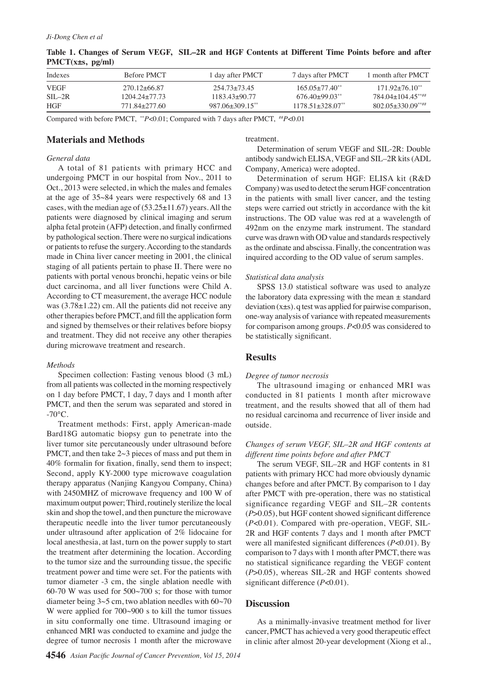| Indexes           | Before PMCT      | 1 day after PMCT  | 7 days after PMCT            | 1 month after PMCT             |
|-------------------|------------------|-------------------|------------------------------|--------------------------------|
| VEGF              | $270.12 + 66.87$ | 254.73+73.45      | $165.05 + 77.40$             | $171.92 + 76.10$ <sup>**</sup> |
| $\text{SII} = 2R$ | 1204.24+77.73    | $118343+9077$     | $676.40+99.03***$            | $784.04+104.45***$             |
| HGF               | 771.84+277.60    | $987.06 + 309.15$ | $117851+32807$ <sup>**</sup> | $802.05 + 330.09***$           |

**Table 1. Changes of Serum VEGF, SIL–2R and HGF Contents at Different Time Points before and after PMCT(x±s, pg/ml)**

Compared with before PMCT, \*\**P*<0.01; Compared with 7 days after PMCT, ##*P*<0.01

# **Materials and Methods**

### *General data*

A total of 81 patients with primary HCC and undergoing PMCT in our hospital from Nov., 2011 to Oct., 2013 were selected, in which the males and females at the age of 35~84 years were respectively 68 and 13 cases, with the median age of  $(53.25 \pm 11.67)$  years. All the patients were diagnosed by clinical imaging and serum alpha fetal protein (AFP) detection, and finally confirmed by pathological section. There were no surgical indications or patients to refuse the surgery. According to the standards made in China liver cancer meeting in 2001, the clinical staging of all patients pertain to phase Ⅱ. There were no patients with portal venous bronchi, hepatic veins or bile duct carcinoma, and all liver functions were Child A. According to CT measurement, the average HCC nodule was  $(3.78\pm1.22)$  cm. All the patients did not receive any other therapies before PMCT, and fill the application form and signed by themselves or their relatives before biopsy and treatment. They did not receive any other therapies during microwave treatment and research.

#### *Methods*

Specimen collection: Fasting venous blood (3 mL) from all patients was collected in the morning respectively on 1 day before PMCT, 1 day, 7 days and 1 month after PMCT, and then the serum was separated and stored in  $-70^{\circ}$ C.

Treatment methods: First, apply American-made Bard18G automatic biopsy gun to penetrate into the liver tumor site percutaneously under ultrasound before PMCT, and then take 2~3 pieces of mass and put them in 40% formalin for fixation, finally, send them to inspect; Second, apply KY-2000 type microwave coagulation therapy apparatus (Nanjing Kangyou Company, China) with 2450MHZ of microwave frequency and 100 W of maximum output power; Third, routinely sterilize the local skin and shop the towel, and then puncture the microwave therapeutic needle into the liver tumor percutaneously under ultrasound after application of 2% lidocaine for local anesthesia, at last, turn on the power supply to start the treatment after determining the location. According to the tumor size and the surrounding tissue, the specific treatment power and time were set. For the patients with tumor diameter -3 cm, the single ablation needle with 60-70 W was used for 500~700 s; for those with tumor diameter being  $3~5$  cm, two ablation needles with  $60~70$ W were applied for 700~900 s to kill the tumor tissues in situ conformally one time. Ultrasound imaging or enhanced MRI was conducted to examine and judge the degree of tumor necrosis 1 month after the microwave

treatment.

Determination of serum VEGF and SIL-2R: Double antibody sandwich ELISA, VEGF and SIL–2R kits (ADL Company, America) were adopted.

Determination of serum HGF: ELISA kit (R&D Company) was used to detect the serum HGF concentration in the patients with small liver cancer, and the testing steps were carried out strictly in accordance with the kit instructions. The OD value was red at a wavelength of 492nm on the enzyme mark instrument. The standard curve was drawn with OD value and standards respectively as the ordinate and abscissa. Finally, the concentration was inquired according to the OD value of serum samples.

#### *Statistical data analysis*

SPSS 13.0 statistical software was used to analyze the laboratory data expressing with the mean  $\pm$  standard deviation (x±s). q test was applied for pairwise comparison, one-way analysis of variance with repeated measurements for comparison among groups. *P*<0.05 was considered to be statistically significant.

## **Results**

#### *Degree of tumor necrosis*

The ultrasound imaging or enhanced MRI was conducted in 81 patients 1 month after microwave treatment, and the results showed that all of them had no residual carcinoma and recurrence of liver inside and outside.

## *Changes of serum VEGF, SIL–2R and HGF contents at different time points before and after PMCT*

The serum VEGF, SIL–2R and HGF contents in 81 patients with primary HCC had more obviously dynamic changes before and after PMCT. By comparison to 1 day after PMCT with pre-operation, there was no statistical significance regarding VEGF and SIL–2R contents (*P*>0.05), but HGF content showed significant difference (*P*<0.01). Compared with pre-operation, VEGF, SIL-2R and HGF contents 7 days and 1 month after PMCT were all manifested significant differences (*P*<0.01). By comparison to 7 days with 1 month after PMCT, there was no statistical significance regarding the VEGF content (*P*>0.05), whereas SIL-2R and HGF contents showed significant difference (*P*<0.01).

## **Discussion**

As a minimally-invasive treatment method for liver cancer, PMCT has achieved a very good therapeutic effect in clinic after almost 20-year development (Xiong et al.,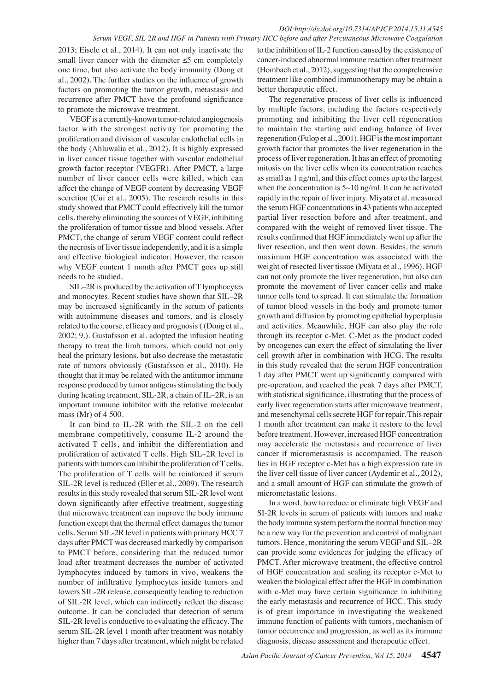2013; Eisele et al., 2014). It can not only inactivate the small liver cancer with the diameter  $\leq$ 5 cm completely one time, but also activate the body immunity (Dong et al., 2002). The further studies on the influence of growth factors on promoting the tumor growth, metastasis and recurrence after PMCT have the profound significance to promote the microwave treatment.

VEGF is a currently-known tumor-related angiogenesis factor with the strongest activity for promoting the proliferation and division of vascular endothelial cells in the body (Ahluwalia et al., 2012). It is highly expressed in liver cancer tissue together with vascular endothelial growth factor receptor (VEGFR). After PMCT, a large number of liver cancer cells were killed, which can affect the change of VEGF content by decreasing VEGF secretion (Cui et al., 2005). The research results in this study showed that PMCT could effectively kill the tumor cells, thereby eliminating the sources of VEGF, inhibiting the proliferation of tumor tissue and blood vessels. After PMCT, the change of serum VEGF content could reflect the necrosis of liver tissue independently, and it is a simple and effective biological indicator. However, the reason why VEGF content 1 month after PMCT goes up still needs to be studied.

SIL–2R is produced by the activation of T lymphocytes and monocytes. Recent studies have shown that SIL–2R may be increased significantly in the serum of patients with autoimmune diseases and tumors, and is closely related to the course, efficacy and prognosis ( (Dong et al., 2002; 9.). Gustafsson et al. adopted the infusion heating therapy to treat the limb tumors, which could not only heal the primary lesions, but also decrease the metastatic rate of tumors obviously (Gustafsson et al., 2010). He thought that it may be related with the antitumor immune response produced by tumor antigens stimulating the body during heating treatment. SIL-2R, a chain of IL–2R, is an important immune inhibitor with the relative molecular mass (Mr) of 4 500.

It can bind to IL-2R with the SIL-2 on the cell membrane competitively, consume IL-2 around the activated T cells, and inhibit the differentiation and proliferation of activated T cells. High SIL–2R level in patients with tumors can inhibit the proliferation of T cells. The proliferation of T cells will be reinforced if serum SIL-2R level is reduced (Eller et al., 2009). The research results in this study revealed that serum SIL-2R level went down significantly after effective treatment, suggesting that microwave treatment can improve the body immune function except that the thermal effect damages the tumor cells. Serum SIL-2R level in patients with primary HCC 7 days after PMCT was decreased markedly by comparison to PMCT before, considering that the reduced tumor load after treatment decreases the number of activated lymphocytes induced by tumors in vivo, weakens the number of infiltrative lymphocytes inside tumors and lowers SIL-2R release, consequently leading to reduction of SIL-2R level, which can indirectly reflect the disease outcome. It can be concluded that detection of serum SIL-2R level is conductive to evaluating the efficacy. The serum SIL-2R level 1 month after treatment was notably higher than 7 days after treatment, which might be related

to the inhibition of IL-2 function caused by the existence of cancer-induced abnormal immune reaction after treatment (Hombach et al., 2012), suggesting that the comprehensive treatment like combined immunotherapy may be obtain a better therapeutic effect.

The regenerative process of liver cells is influenced by multiple factors, including the factors respectively promoting and inhibiting the liver cell regeneration to maintain the starting and ending balance of liver regeneration (Fulop et al., 2001). HGF is the most important growth factor that promotes the liver regeneration in the process of liver regeneration. It has an effect of promoting mitosis on the liver cells when its concentration reaches as small as 1 ng/ml, and this effect comes up to the largest when the concentration is  $5 \sim 10$  ng/ml. It can be activated rapidly in the repair of liver injury. Miyata et al. measured the serum HGF concentrations in 43 patients who accepted partial liver resection before and after treatment, and compared with the weight of removed liver tissue. The results confirmed that HGF immediately went up after the liver resection, and then went down. Besides, the serum maximum HGF concentration was associated with the weight of resected liver tissue (Miyata et al., 1996). HGF can not only promote the liver regeneration, but also can promote the movement of liver cancer cells and make tumor cells tend to spread. It can stimulate the formation of tumor blood vessels in the body and promote tumor growth and diffusion by promoting epithelial hyperplasia and activities. Meanwhile, HGF can also play the role through its receptor c-Met. C-Met as the product coded by oncogenes can exert the effect of simulating the liver cell growth after in combination with HCG. The results in this study revealed that the serum HGF concentration 1 day after PMCT went up significantly compared with pre-operation, and reached the peak 7 days after PMCT, with statistical significance, illustrating that the process of early liver regeneration starts after microwave treatment, and mesenchymal cells secrete HGF for repair. This repair 1 month after treatment can make it restore to the level before treatment. However, increased HGF concentration may accelerate the metastasis and recurrence of liver cancer if micrometastasis is accompanied. The reason lies in HGF receptor c-Met has a high expression rate in the liver cell tissue of liver cancer (Aydemir et al., 2012), and a small amount of HGF can stimulate the growth of micrometastatic lesions.

In a word, how to reduce or eliminate high VEGF and SI-2R levels in serum of patients with tumors and make the body immune system perform the normal function may be a new way for the prevention and control of malignant tumors. Hence, monitoring the serum VEGF and SIL–2R can provide some evidences for judging the efficacy of PMCT. After microwave treatment, the effective control of HGF concentration and sealing its receptor c-Met to weaken the biological effect after the HGF in combination with c-Met may have certain significance in inhibiting the early metastasis and recurrence of HCC. This study is of great importance in investigating the weakened immune function of patients with tumors, mechanism of tumor occurrence and progression, as well as its immune diagnosis, disease assessment and therapeutic effect.